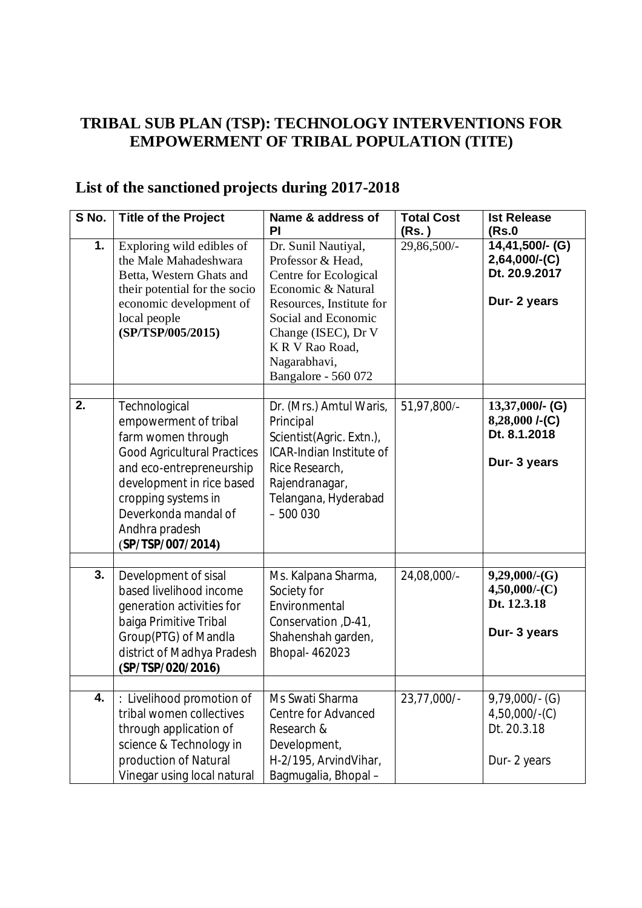## **TRIBAL SUB PLAN (TSP): TECHNOLOGY INTERVENTIONS FOR EMPOWERMENT OF TRIBAL POPULATION (TITE)**

## **List of the sanctioned projects during 2017-2018**

| S No. | <b>Title of the Project</b>                                                                                                                                                                                                                       | Name & address of<br>PI                                                                                                                                                                                                    | <b>Total Cost</b><br>(Rs. ) | <b>Ist Release</b><br>(Rs.0                                            |
|-------|---------------------------------------------------------------------------------------------------------------------------------------------------------------------------------------------------------------------------------------------------|----------------------------------------------------------------------------------------------------------------------------------------------------------------------------------------------------------------------------|-----------------------------|------------------------------------------------------------------------|
| 1.    | Exploring wild edibles of<br>the Male Mahadeshwara<br>Betta, Western Ghats and<br>their potential for the socio<br>economic development of<br>local people<br>(SP/TSP/005/2015)                                                                   | Dr. Sunil Nautiyal,<br>Professor & Head,<br>Centre for Ecological<br>Economic & Natural<br>Resources, Institute for<br>Social and Economic<br>Change (ISEC), Dr V<br>KR V Rao Road,<br>Nagarabhavi,<br>Bangalore - 560 072 | 29,86,500/-                 | 14,41,500/- (G)<br>$2,64,000/$ -(C)<br>Dt. 20.9.2017<br>Dur- 2 years   |
| 2.    | Technological<br>empowerment of tribal<br>farm women through<br><b>Good Agricultural Practices</b><br>and eco-entrepreneurship<br>development in rice based<br>cropping systems in<br>Deverkonda mandal of<br>Andhra pradesh<br>(SP/TSP/007/2014) | Dr. (Mrs.) Amtul Waris,<br>Principal<br>Scientist(Agric. Extn.),<br><b>ICAR-Indian Institute of</b><br>Rice Research,<br>Rajendranagar,<br>Telangana, Hyderabad<br>$-500030$                                               | 51,97,800/-                 | $13,37,000/$ - (G)<br>$8,28,000$ /-(C)<br>Dt. 8.1.2018<br>Dur- 3 years |
| 3.    | Development of sisal<br>based livelihood income<br>generation activities for<br>baiga Primitive Tribal<br>Group(PTG) of Mandla<br>district of Madhya Pradesh<br>(SP/TSP/020/2016)                                                                 | Ms. Kalpana Sharma,<br>Society for<br>Environmental<br>Conservation, D-41,<br>Shahenshah garden,<br>Bhopal- 462023                                                                                                         | 24,08,000/-                 | $9,29,000$ /-(G)<br>$4,50,000/$ -(C)<br>Dt. 12.3.18<br>Dur- 3 years    |
| 4.    | : Livelihood promotion of<br>tribal women collectives<br>through application of<br>science & Technology in<br>production of Natural<br>Vinegar using local natural                                                                                | Ms Swati Sharma<br>Centre for Advanced<br>Research &<br>Development,<br>H-2/195, ArvindVihar,<br>Bagmugalia, Bhopal-                                                                                                       | 23,77,000/-                 | $9,79,000/-(G)$<br>$4,50,000/-(C)$<br>Dt. 20.3.18<br>Dur-2 years       |